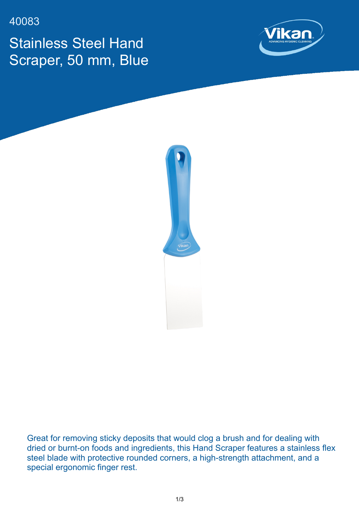40083

Stainless Steel Hand Scraper, 50 mm, Blue





Great for removing sticky deposits that would clog a brush and for dealing with dried or burnt-on foods and ingredients, this Hand Scraper features a stainless flex steel blade with protective rounded corners, a high-strength attachment, and a special ergonomic finger rest.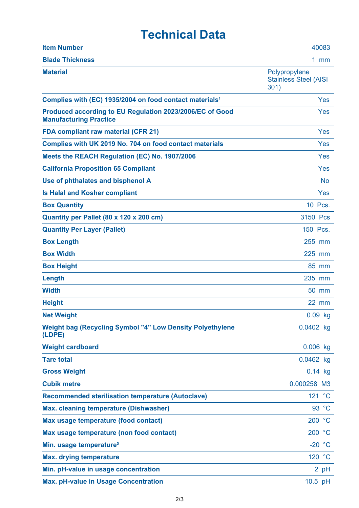## **Technical Data**

| <b>Item Number</b>                                                                        | 40083                                                 |
|-------------------------------------------------------------------------------------------|-------------------------------------------------------|
| <b>Blade Thickness</b>                                                                    | $1$ mm                                                |
| <b>Material</b>                                                                           | Polypropylene<br><b>Stainless Steel (AISI</b><br>301) |
| Complies with (EC) 1935/2004 on food contact materials <sup>1</sup>                       | Yes                                                   |
| Produced according to EU Regulation 2023/2006/EC of Good<br><b>Manufacturing Practice</b> | Yes                                                   |
| <b>FDA compliant raw material (CFR 21)</b>                                                | Yes                                                   |
| Complies with UK 2019 No. 704 on food contact materials                                   | Yes                                                   |
| Meets the REACH Regulation (EC) No. 1907/2006                                             | Yes                                                   |
| <b>California Proposition 65 Compliant</b>                                                | Yes                                                   |
| Use of phthalates and bisphenol A                                                         | <b>No</b>                                             |
| <b>Is Halal and Kosher compliant</b>                                                      | Yes                                                   |
| <b>Box Quantity</b>                                                                       | 10 Pcs.                                               |
| Quantity per Pallet (80 x 120 x 200 cm)                                                   | 3150 Pcs                                              |
| <b>Quantity Per Layer (Pallet)</b>                                                        | 150 Pcs.                                              |
| <b>Box Length</b>                                                                         | 255 mm                                                |
| <b>Box Width</b>                                                                          | 225 mm                                                |
| <b>Box Height</b>                                                                         | 85 mm                                                 |
| Length                                                                                    | 235 mm                                                |
| <b>Width</b>                                                                              | 50 mm                                                 |
| <b>Height</b>                                                                             | $22$ mm                                               |
| <b>Net Weight</b>                                                                         | $0.09$ kg                                             |
| <b>Weight bag (Recycling Symbol "4" Low Density Polyethylene</b><br>(LDPE)                | 0.0402 kg                                             |
| <b>Weight cardboard</b>                                                                   | $0.006$ kg                                            |
| <b>Tare total</b>                                                                         | 0.0462 kg                                             |
| <b>Gross Weight</b>                                                                       | $0.14$ kg                                             |
| <b>Cubik metre</b>                                                                        | 0.000258 M3                                           |
| <b>Recommended sterilisation temperature (Autoclave)</b>                                  | 121 °C                                                |
| <b>Max. cleaning temperature (Dishwasher)</b>                                             | 93 °C                                                 |
| Max usage temperature (food contact)                                                      | 200 °C                                                |
| Max usage temperature (non food contact)                                                  | 200 °C                                                |
| Min. usage temperature <sup>3</sup>                                                       | $-20 °C$                                              |
| <b>Max. drying temperature</b>                                                            | 120 °C                                                |
| Min. pH-value in usage concentration                                                      | 2 pH                                                  |
| <b>Max. pH-value in Usage Concentration</b>                                               | 10.5 pH                                               |